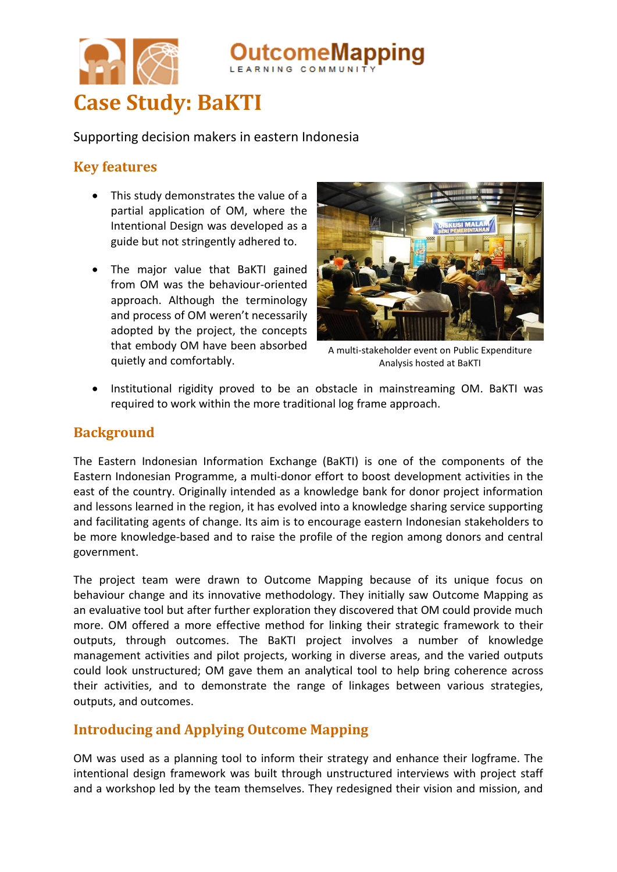

Supporting decision makers in eastern Indonesia

# **Key features**

- This study demonstrates the value of a partial application of OM, where the Intentional Design was developed as a guide but not stringently adhered to.
- The major value that BaKTI gained from OM was the behaviour-oriented approach. Although the terminology and process of OM weren't necessarily adopted by the project, the concepts that embody OM have been absorbed quietly and comfortably.



eMapping

A multi-stakeholder event on Public Expenditure Analysis hosted at BaKTI

 Institutional rigidity proved to be an obstacle in mainstreaming OM. BaKTI was required to work within the more traditional log frame approach.

### **Background**

The Eastern Indonesian Information Exchange (BaKTI) is one of the components of the Eastern Indonesian Programme, a multi-donor effort to boost development activities in the east of the country. Originally intended as a knowledge bank for donor project information and lessons learned in the region, it has evolved into a knowledge sharing service supporting and facilitating agents of change. Its aim is to encourage eastern Indonesian stakeholders to be more knowledge-based and to raise the profile of the region among donors and central government.

The project team were drawn to Outcome Mapping because of its unique focus on behaviour change and its innovative methodology. They initially saw Outcome Mapping as an evaluative tool but after further exploration they discovered that OM could provide much more. OM offered a more effective method for linking their strategic framework to their outputs, through outcomes. The BaKTI project involves a number of knowledge management activities and pilot projects, working in diverse areas, and the varied outputs could look unstructured; OM gave them an analytical tool to help bring coherence across their activities, and to demonstrate the range of linkages between various strategies, outputs, and outcomes.

# **Introducing and Applying Outcome Mapping**

OM was used as a planning tool to inform their strategy and enhance their logframe. The intentional design framework was built through unstructured interviews with project staff and a workshop led by the team themselves. They redesigned their vision and mission, and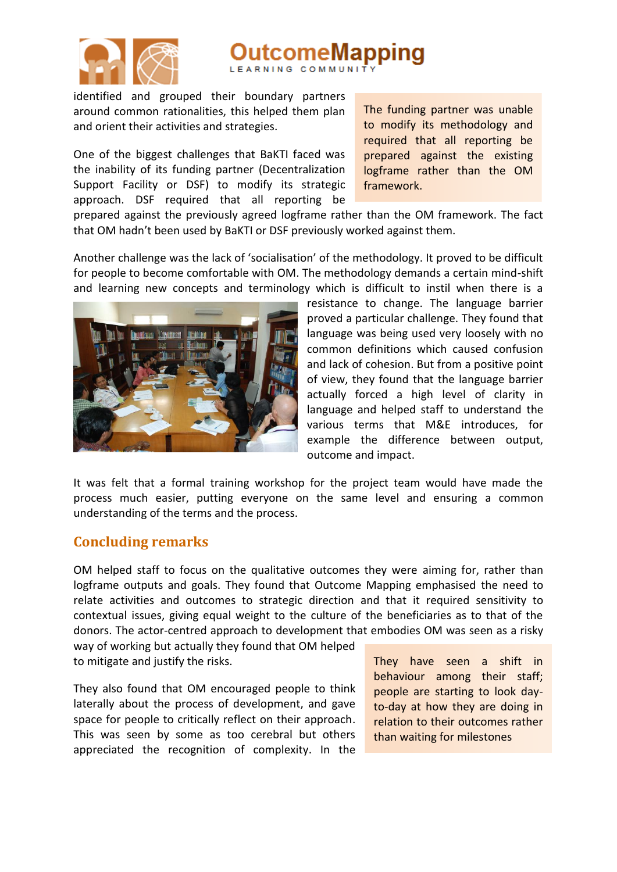

# eMapping

identified and grouped their boundary partners around common rationalities, this helped them plan and orient their activities and strategies.

One of the biggest challenges that BaKTI faced was the inability of its funding partner (Decentralization Support Facility or DSF) to modify its strategic approach. DSF required that all reporting be

The funding partner was unable to modify its methodology and required that all reporting be prepared against the existing logframe rather than the OM framework.

prepared against the previously agreed logframe rather than the OM framework. The fact that OM hadn't been used by BaKTI or DSF previously worked against them.

Another challenge was the lack of 'socialisation' of the methodology. It proved to be difficult for people to become comfortable with OM. The methodology demands a certain mind-shift and learning new concepts and terminology which is difficult to instil when there is a



resistance to change. The language barrier proved a particular challenge. They found that language was being used very loosely with no common definitions which caused confusion and lack of cohesion. But from a positive point of view, they found that the language barrier actually forced a high level of clarity in language and helped staff to understand the various terms that M&E introduces, for example the difference between output, outcome and impact.

It was felt that a formal training workshop for the project team would have made the process much easier, putting everyone on the same level and ensuring a common understanding of the terms and the process.

#### **Concluding remarks**

OM helped staff to focus on the qualitative outcomes they were aiming for, rather than logframe outputs and goals. They found that Outcome Mapping emphasised the need to relate activities and outcomes to strategic direction and that it required sensitivity to contextual issues, giving equal weight to the culture of the beneficiaries as to that of the donors. The actor-centred approach to development that embodies OM was seen as a risky

way of working but actually they found that OM helped to mitigate and justify the risks.

They also found that OM encouraged people to think laterally about the process of development, and gave space for people to critically reflect on their approach. This was seen by some as too cerebral but others appreciated the recognition of complexity. In the They have seen a shift in behaviour among their staff; people are starting to look dayto-day at how they are doing in relation to their outcomes rather than waiting for milestones